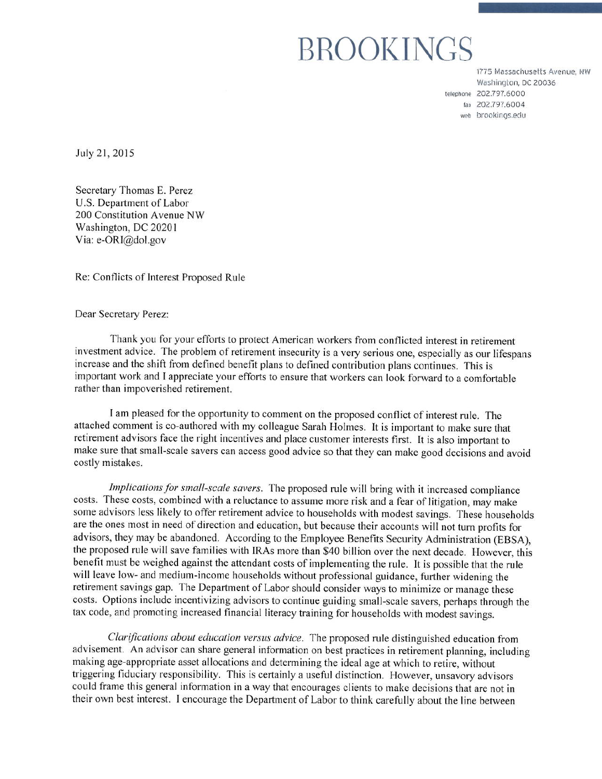# BROOKINGS

1775 Massachusetts Avenue, NW Washington, DC 20036 telephone 202.797.6000 fax 202.797.6004 web brookings.edu

July 21, 2015

Secretary Thomas E. Perez U.S. Department of Labor 200 Constitution Avenue NW Washington, DC 20201 Via: e-ORI@dol.gov

Re: Conflicts of Interest Proposed Rule

Dear Secretary Perez:

Thank you for your efforts to protect American workers from conflicted interest in retirement investment advice. The problem of retirement insecurity is a very serious one, especially as our lifespans increase and the shift from defined benefit plans to defined contribution plans continues. This is important work and I appreciate your efforts to ensure that workers can look forward to a comfortable rather than impoverished retirement.

I am pleased for the opportunity to comment on the proposed conflict of interest rule. The attached comment is co-authored with my colleague Sarah Holmes. It is important to make sure that retirement advisors face the right incentives and place customer interests first. It is also important to make sure that small-scale savers can access good advice so that they can make good decisions and avoid costly mistakes.

Implications for small-scale savers. The proposed rule will bring with it increased compliance costs. These costs, combined with a reluctance to assume more risk and a fear of litigation, may make some advisors less likely to offer retirement advice to households with modest savings. These households are the ones most in need of direction and education, but because their accounts will not turn profits for advisors, they may be abandoned. According to the Employee Benefits Security Administration (EBSA), the proposed rule will save families with IRAs more than \$40 billion over the next decade. However, this benefit must be weighed against the attendant costs of implementing the rule. It is possible that the rule will leave low- and medium-income households without professional guidance, further widening the retirement savings gap. The Department of Labor should consider ways to minimize or manage these costs. Options include incentivizing advisors to continue guiding small-scale savers, perhaps through the tax code, and promoting increased financial literacy training for households with modest savings.

*Clarifications about education versus advice.* The proposed rule distinguished education from advisement. An advisor can share general information on best practices in retirement planning, including making age-appropriate asset allocations and determining the ideal age at which to retire, without triggering fiduciary responsibility. This is certainly a useful distinction. However, unsavory advisors could frame this general information in a way that encourages clients to make decisions that are not in their own best interest. I encourage the Department of Labor to think carefully about the line between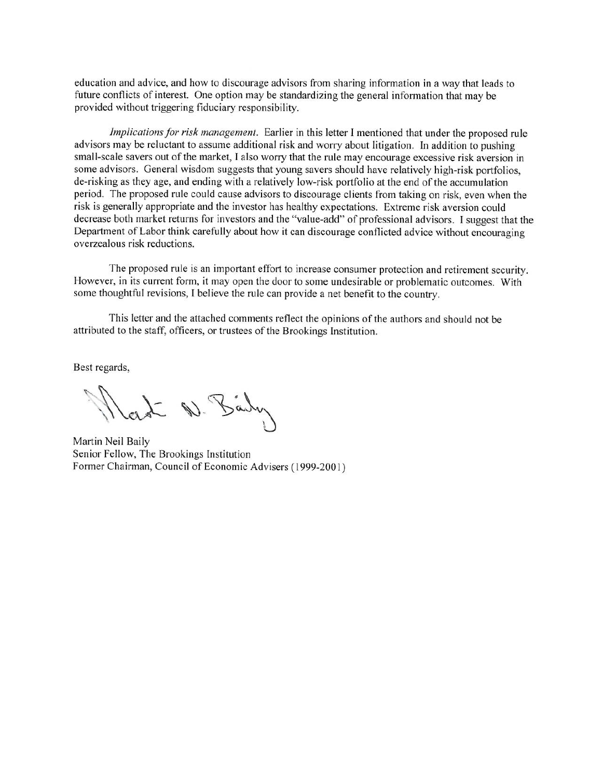education and advice, and how to discourage advisors from sharing information in a way that leads to future conflicts of interest. One option may be standardizing the general information that may be provided without triggering fiduciary responsibility.

Implications for risk management. Earlier in this letter I mentioned that under the proposed rule advisors may be reluctant to assume additional risk and worry about litigation. In addition to pushing small-scale savers out of the market, I also worry that the rule may encourage excessive risk aversion in some advisors. General wisdom suggests that young savers should have relatively high-risk portfolios, de-risking as they age, and ending with a relatively low-risk portfolio at the end of the accumulation period. The proposed rule could cause advisors to discourage clients from taking on risk, even when the risk is generally appropriate and the investor has healthy expectations. Extreme risk aversion could decrease both market returns for investors and the "value-add" of professional advisors. I suggest that the Department of Labor think carefully about how it can discourage conflicted advice without encouraging overzealous risk reductions.

The proposed rule is an important effort to increase consumer protection and retirement security. However, in its current form, it may open the door to some undesirable or problematic outcomes. With some thoughtful revisions, I believe the rule can provide a net benefit to the country.

This letter and the attached comments reflect the opinions of the authors and should not be attributed to the staff, officers, or trustees of the Brookings Institution.

Best regards,

I D. Barby

Martin Neil Baily Senior Fellow, The Brookings Institution Former Chairman, Council of Economic Advisers (1999-2001)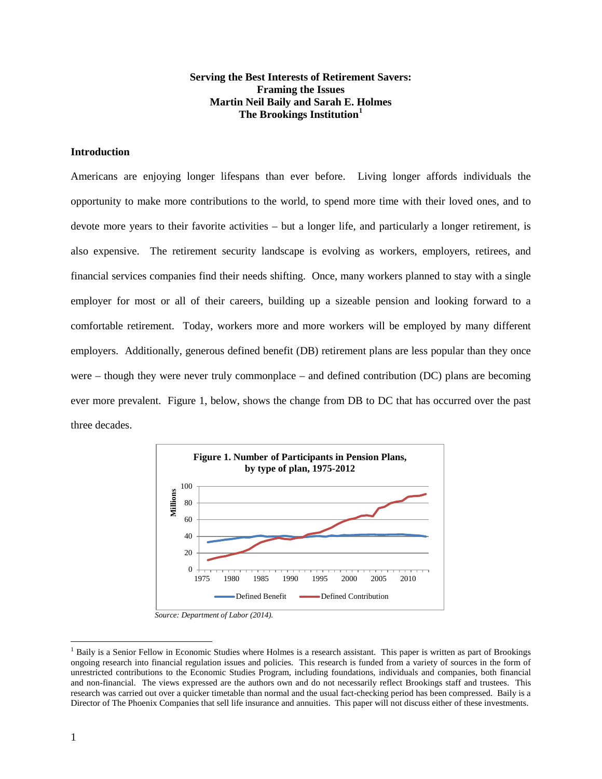## **Serving the Best Interests of Retirement Savers: Framing the Issues Martin Neil Baily and Sarah E. Holmes The Brookings Institution[1](#page-2-0)**

# **Introduction**

Americans are enjoying longer lifespans than ever before. Living longer affords individuals the opportunity to make more contributions to the world, to spend more time with their loved ones, and to devote more years to their favorite activities – but a longer life, and particularly a longer retirement, is also expensive. The retirement security landscape is evolving as workers, employers, retirees, and financial services companies find their needs shifting. Once, many workers planned to stay with a single employer for most or all of their careers, building up a sizeable pension and looking forward to a comfortable retirement. Today, workers more and more workers will be employed by many different employers. Additionally, generous defined benefit (DB) retirement plans are less popular than they once were – though they were never truly commonplace – and defined contribution (DC) plans are becoming ever more prevalent. Figure 1, below, shows the change from DB to DC that has occurred over the past three decades.



*Source: Department of Labor (2014).*

l

<span id="page-2-0"></span><sup>&</sup>lt;sup>1</sup> Baily is a Senior Fellow in Economic Studies where Holmes is a research assistant. This paper is written as part of Brookings ongoing research into financial regulation issues and policies. This research is funded from a variety of sources in the form of unrestricted contributions to the Economic Studies Program, including foundations, individuals and companies, both financial and non-financial. The views expressed are the authors own and do not necessarily reflect Brookings staff and trustees. This research was carried out over a quicker timetable than normal and the usual fact-checking period has been compressed. Baily is a Director of The Phoenix Companies that sell life insurance and annuities. This paper will not discuss either of these investments.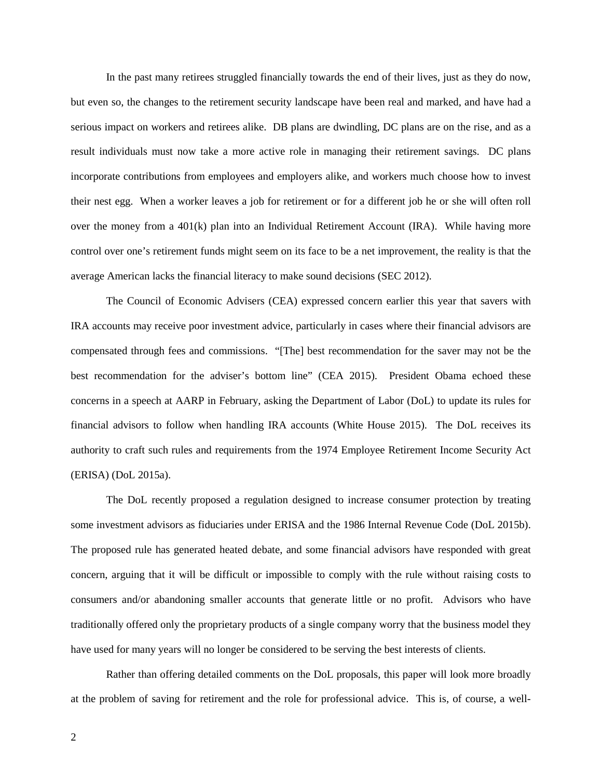In the past many retirees struggled financially towards the end of their lives, just as they do now, but even so, the changes to the retirement security landscape have been real and marked, and have had a serious impact on workers and retirees alike. DB plans are dwindling, DC plans are on the rise, and as a result individuals must now take a more active role in managing their retirement savings. DC plans incorporate contributions from employees and employers alike, and workers much choose how to invest their nest egg. When a worker leaves a job for retirement or for a different job he or she will often roll over the money from a 401(k) plan into an Individual Retirement Account (IRA). While having more control over one's retirement funds might seem on its face to be a net improvement, the reality is that the average American lacks the financial literacy to make sound decisions (SEC 2012).

The Council of Economic Advisers (CEA) expressed concern earlier this year that savers with IRA accounts may receive poor investment advice, particularly in cases where their financial advisors are compensated through fees and commissions. "[The] best recommendation for the saver may not be the best recommendation for the adviser's bottom line" (CEA 2015). President Obama echoed these concerns in a speech at AARP in February, asking the Department of Labor (DoL) to update its rules for financial advisors to follow when handling IRA accounts (White House 2015). The DoL receives its authority to craft such rules and requirements from the 1974 Employee Retirement Income Security Act (ERISA) (DoL 2015a).

The DoL recently proposed a regulation designed to increase consumer protection by treating some investment advisors as fiduciaries under ERISA and the 1986 Internal Revenue Code (DoL 2015b). The proposed rule has generated heated debate, and some financial advisors have responded with great concern, arguing that it will be difficult or impossible to comply with the rule without raising costs to consumers and/or abandoning smaller accounts that generate little or no profit. Advisors who have traditionally offered only the proprietary products of a single company worry that the business model they have used for many years will no longer be considered to be serving the best interests of clients.

Rather than offering detailed comments on the DoL proposals, this paper will look more broadly at the problem of saving for retirement and the role for professional advice. This is, of course, a well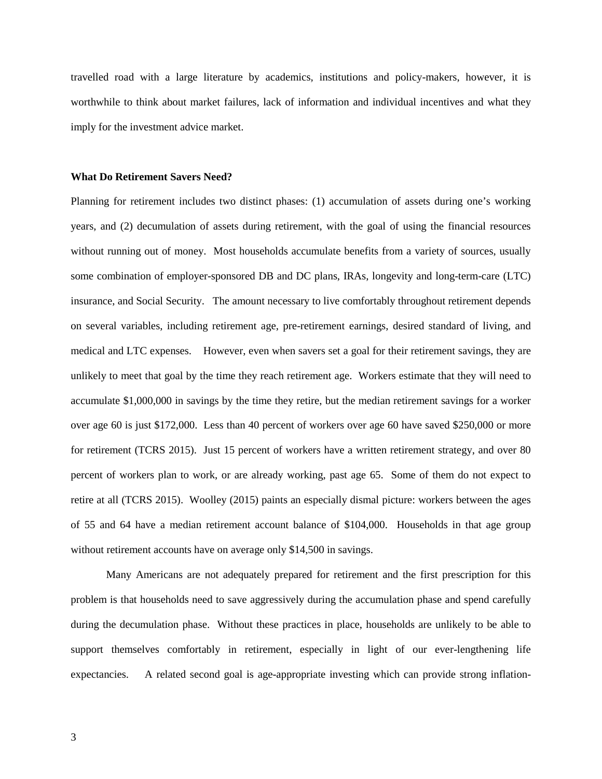travelled road with a large literature by academics, institutions and policy-makers, however, it is worthwhile to think about market failures, lack of information and individual incentives and what they imply for the investment advice market.

#### **What Do Retirement Savers Need?**

Planning for retirement includes two distinct phases: (1) accumulation of assets during one's working years, and (2) decumulation of assets during retirement, with the goal of using the financial resources without running out of money. Most households accumulate benefits from a variety of sources, usually some combination of employer-sponsored DB and DC plans, IRAs, longevity and long-term-care (LTC) insurance, and Social Security. The amount necessary to live comfortably throughout retirement depends on several variables, including retirement age, pre-retirement earnings, desired standard of living, and medical and LTC expenses. However, even when savers set a goal for their retirement savings, they are unlikely to meet that goal by the time they reach retirement age. Workers estimate that they will need to accumulate \$1,000,000 in savings by the time they retire, but the median retirement savings for a worker over age 60 is just \$172,000. Less than 40 percent of workers over age 60 have saved \$250,000 or more for retirement (TCRS 2015). Just 15 percent of workers have a written retirement strategy, and over 80 percent of workers plan to work, or are already working, past age 65. Some of them do not expect to retire at all (TCRS 2015). Woolley (2015) paints an especially dismal picture: workers between the ages of 55 and 64 have a median retirement account balance of \$104,000. Households in that age group without retirement accounts have on average only \$14,500 in savings.

Many Americans are not adequately prepared for retirement and the first prescription for this problem is that households need to save aggressively during the accumulation phase and spend carefully during the decumulation phase. Without these practices in place, households are unlikely to be able to support themselves comfortably in retirement, especially in light of our ever-lengthening life expectancies. A related second goal is age-appropriate investing which can provide strong inflation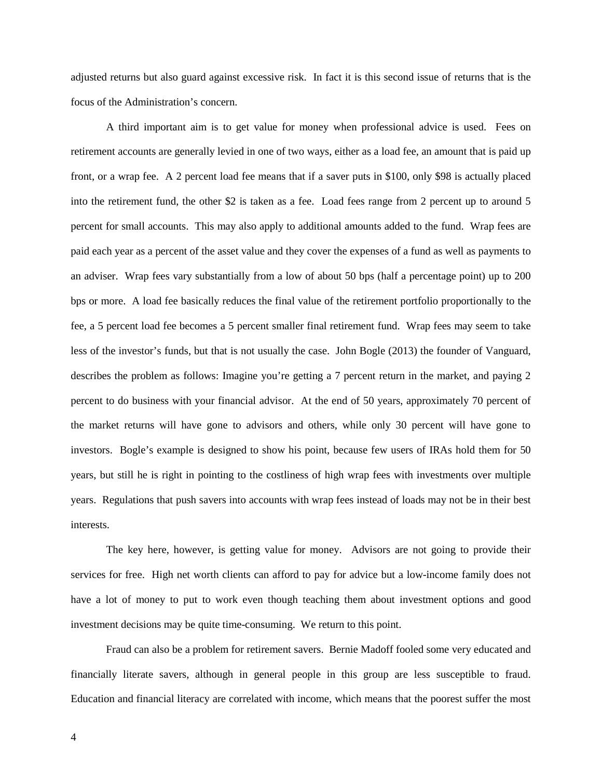adjusted returns but also guard against excessive risk. In fact it is this second issue of returns that is the focus of the Administration's concern.

A third important aim is to get value for money when professional advice is used. Fees on retirement accounts are generally levied in one of two ways, either as a load fee, an amount that is paid up front, or a wrap fee. A 2 percent load fee means that if a saver puts in \$100, only \$98 is actually placed into the retirement fund, the other \$2 is taken as a fee. Load fees range from 2 percent up to around 5 percent for small accounts. This may also apply to additional amounts added to the fund. Wrap fees are paid each year as a percent of the asset value and they cover the expenses of a fund as well as payments to an adviser. Wrap fees vary substantially from a low of about 50 bps (half a percentage point) up to 200 bps or more. A load fee basically reduces the final value of the retirement portfolio proportionally to the fee, a 5 percent load fee becomes a 5 percent smaller final retirement fund. Wrap fees may seem to take less of the investor's funds, but that is not usually the case. John Bogle (2013) the founder of Vanguard, describes the problem as follows: Imagine you're getting a 7 percent return in the market, and paying 2 percent to do business with your financial advisor. At the end of 50 years, approximately 70 percent of the market returns will have gone to advisors and others, while only 30 percent will have gone to investors. Bogle's example is designed to show his point, because few users of IRAs hold them for 50 years, but still he is right in pointing to the costliness of high wrap fees with investments over multiple years. Regulations that push savers into accounts with wrap fees instead of loads may not be in their best interests.

The key here, however, is getting value for money. Advisors are not going to provide their services for free. High net worth clients can afford to pay for advice but a low-income family does not have a lot of money to put to work even though teaching them about investment options and good investment decisions may be quite time-consuming. We return to this point.

Fraud can also be a problem for retirement savers. Bernie Madoff fooled some very educated and financially literate savers, although in general people in this group are less susceptible to fraud. Education and financial literacy are correlated with income, which means that the poorest suffer the most

4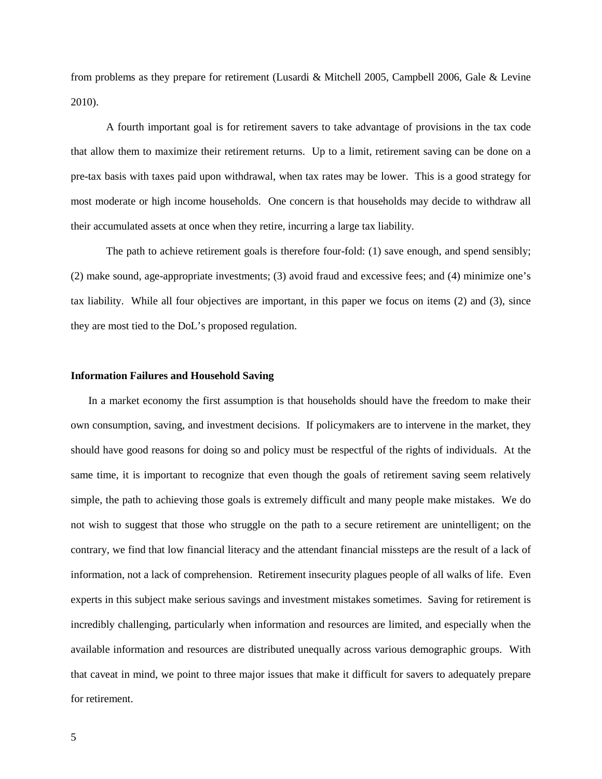from problems as they prepare for retirement (Lusardi & Mitchell 2005, Campbell 2006, Gale & Levine 2010).

A fourth important goal is for retirement savers to take advantage of provisions in the tax code that allow them to maximize their retirement returns. Up to a limit, retirement saving can be done on a pre-tax basis with taxes paid upon withdrawal, when tax rates may be lower. This is a good strategy for most moderate or high income households. One concern is that households may decide to withdraw all their accumulated assets at once when they retire, incurring a large tax liability.

The path to achieve retirement goals is therefore four-fold: (1) save enough, and spend sensibly; (2) make sound, age-appropriate investments; (3) avoid fraud and excessive fees; and (4) minimize one's tax liability. While all four objectives are important, in this paper we focus on items (2) and (3), since they are most tied to the DoL's proposed regulation.

## **Information Failures and Household Saving**

In a market economy the first assumption is that households should have the freedom to make their own consumption, saving, and investment decisions. If policymakers are to intervene in the market, they should have good reasons for doing so and policy must be respectful of the rights of individuals. At the same time, it is important to recognize that even though the goals of retirement saving seem relatively simple, the path to achieving those goals is extremely difficult and many people make mistakes. We do not wish to suggest that those who struggle on the path to a secure retirement are unintelligent; on the contrary, we find that low financial literacy and the attendant financial missteps are the result of a lack of information, not a lack of comprehension. Retirement insecurity plagues people of all walks of life. Even experts in this subject make serious savings and investment mistakes sometimes. Saving for retirement is incredibly challenging, particularly when information and resources are limited, and especially when the available information and resources are distributed unequally across various demographic groups. With that caveat in mind, we point to three major issues that make it difficult for savers to adequately prepare for retirement.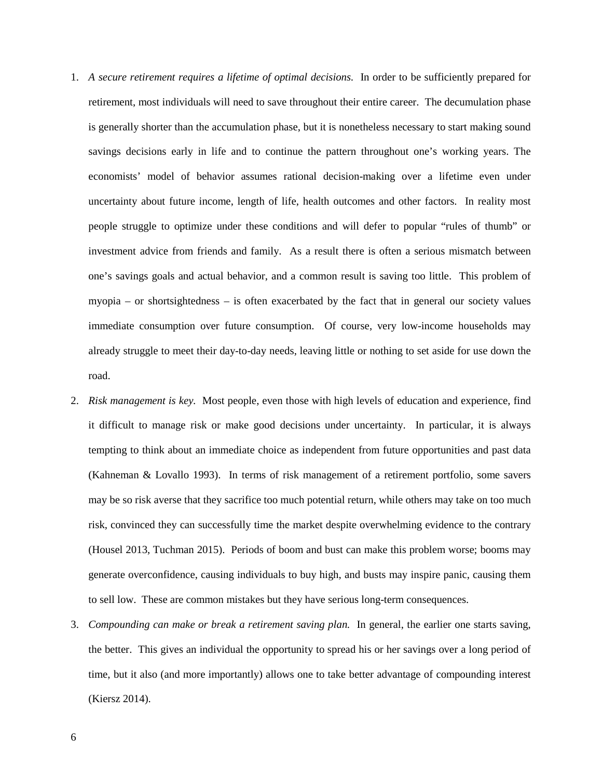- 1. *A secure retirement requires a lifetime of optimal decisions.* In order to be sufficiently prepared for retirement, most individuals will need to save throughout their entire career. The decumulation phase is generally shorter than the accumulation phase, but it is nonetheless necessary to start making sound savings decisions early in life and to continue the pattern throughout one's working years. The economists' model of behavior assumes rational decision-making over a lifetime even under uncertainty about future income, length of life, health outcomes and other factors. In reality most people struggle to optimize under these conditions and will defer to popular "rules of thumb" or investment advice from friends and family. As a result there is often a serious mismatch between one's savings goals and actual behavior, and a common result is saving too little. This problem of myopia – or shortsightedness – is often exacerbated by the fact that in general our society values immediate consumption over future consumption. Of course, very low-income households may already struggle to meet their day-to-day needs, leaving little or nothing to set aside for use down the road.
- 2. *Risk management is key.* Most people, even those with high levels of education and experience, find it difficult to manage risk or make good decisions under uncertainty. In particular, it is always tempting to think about an immediate choice as independent from future opportunities and past data (Kahneman & Lovallo 1993). In terms of risk management of a retirement portfolio, some savers may be so risk averse that they sacrifice too much potential return, while others may take on too much risk, convinced they can successfully time the market despite overwhelming evidence to the contrary (Housel 2013, Tuchman 2015). Periods of boom and bust can make this problem worse; booms may generate overconfidence, causing individuals to buy high, and busts may inspire panic, causing them to sell low. These are common mistakes but they have serious long-term consequences.
- 3. *Compounding can make or break a retirement saving plan.* In general, the earlier one starts saving, the better. This gives an individual the opportunity to spread his or her savings over a long period of time, but it also (and more importantly) allows one to take better advantage of compounding interest (Kiersz 2014).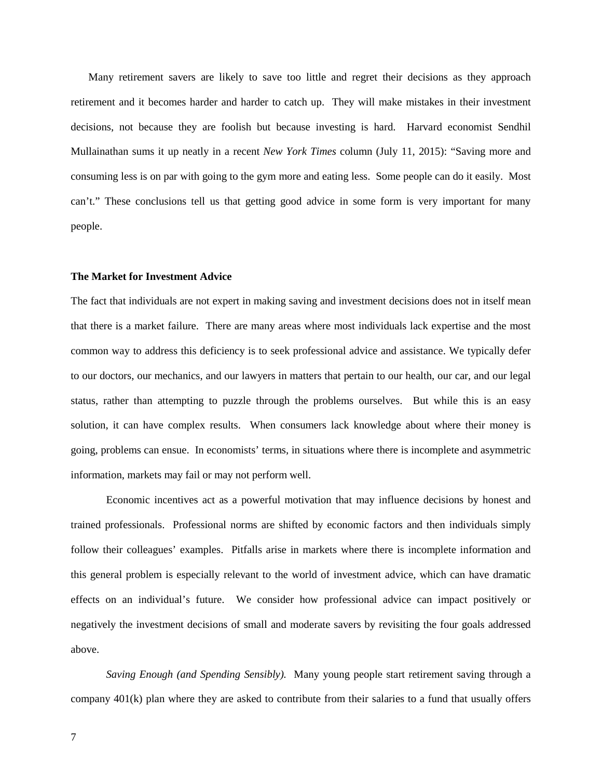Many retirement savers are likely to save too little and regret their decisions as they approach retirement and it becomes harder and harder to catch up. They will make mistakes in their investment decisions, not because they are foolish but because investing is hard. Harvard economist Sendhil Mullainathan sums it up neatly in a recent *New York Times* column (July 11, 2015): "Saving more and consuming less is on par with going to the gym more and eating less. Some people can do it easily. Most can't." These conclusions tell us that getting good advice in some form is very important for many people.

# **The Market for Investment Advice**

The fact that individuals are not expert in making saving and investment decisions does not in itself mean that there is a market failure. There are many areas where most individuals lack expertise and the most common way to address this deficiency is to seek professional advice and assistance. We typically defer to our doctors, our mechanics, and our lawyers in matters that pertain to our health, our car, and our legal status, rather than attempting to puzzle through the problems ourselves. But while this is an easy solution, it can have complex results. When consumers lack knowledge about where their money is going, problems can ensue. In economists' terms, in situations where there is incomplete and asymmetric information, markets may fail or may not perform well.

Economic incentives act as a powerful motivation that may influence decisions by honest and trained professionals. Professional norms are shifted by economic factors and then individuals simply follow their colleagues' examples. Pitfalls arise in markets where there is incomplete information and this general problem is especially relevant to the world of investment advice, which can have dramatic effects on an individual's future. We consider how professional advice can impact positively or negatively the investment decisions of small and moderate savers by revisiting the four goals addressed above.

*Saving Enough (and Spending Sensibly).* Many young people start retirement saving through a company 401(k) plan where they are asked to contribute from their salaries to a fund that usually offers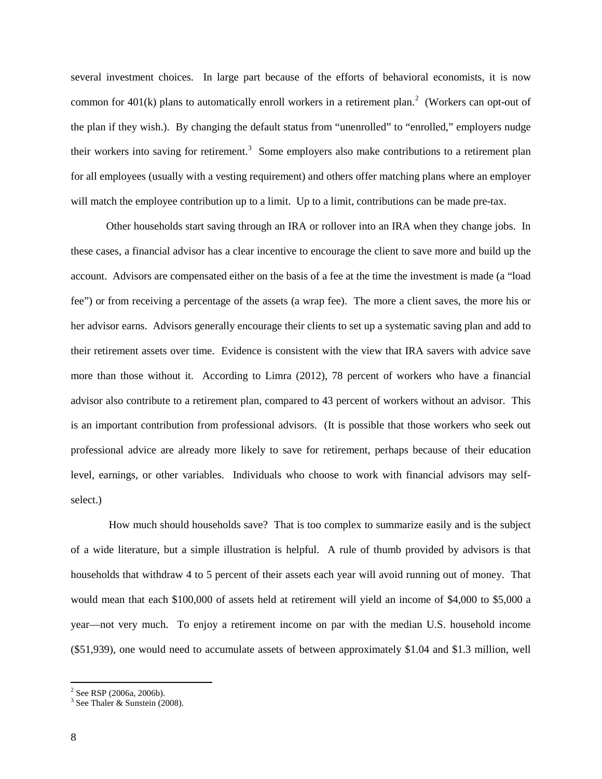several investment choices. In large part because of the efforts of behavioral economists, it is now common for  $401(k)$  plans to automatically enroll workers in a retirement plan.<sup>[2](#page-9-0)</sup> (Workers can opt-out of the plan if they wish.). By changing the default status from "unenrolled" to "enrolled," employers nudge their workers into saving for retirement.<sup>[3](#page-9-1)</sup> Some employers also make contributions to a retirement plan for all employees (usually with a vesting requirement) and others offer matching plans where an employer will match the employee contribution up to a limit. Up to a limit, contributions can be made pre-tax.

Other households start saving through an IRA or rollover into an IRA when they change jobs. In these cases, a financial advisor has a clear incentive to encourage the client to save more and build up the account. Advisors are compensated either on the basis of a fee at the time the investment is made (a "load fee") or from receiving a percentage of the assets (a wrap fee). The more a client saves, the more his or her advisor earns. Advisors generally encourage their clients to set up a systematic saving plan and add to their retirement assets over time. Evidence is consistent with the view that IRA savers with advice save more than those without it. According to Limra (2012), 78 percent of workers who have a financial advisor also contribute to a retirement plan, compared to 43 percent of workers without an advisor. This is an important contribution from professional advisors. (It is possible that those workers who seek out professional advice are already more likely to save for retirement, perhaps because of their education level, earnings, or other variables. Individuals who choose to work with financial advisors may selfselect.)

How much should households save? That is too complex to summarize easily and is the subject of a wide literature, but a simple illustration is helpful. A rule of thumb provided by advisors is that households that withdraw 4 to 5 percent of their assets each year will avoid running out of money. That would mean that each \$100,000 of assets held at retirement will yield an income of \$4,000 to \$5,000 a year—not very much. To enjoy a retirement income on par with the median U.S. household income (\$51,939), one would need to accumulate assets of between approximately \$1.04 and \$1.3 million, well

 $\overline{\phantom{a}}$ 

<span id="page-9-0"></span> $2^2$  See RSP (2006a, 2006b).

<span id="page-9-1"></span> $3$  See Thaler & Sunstein (2008).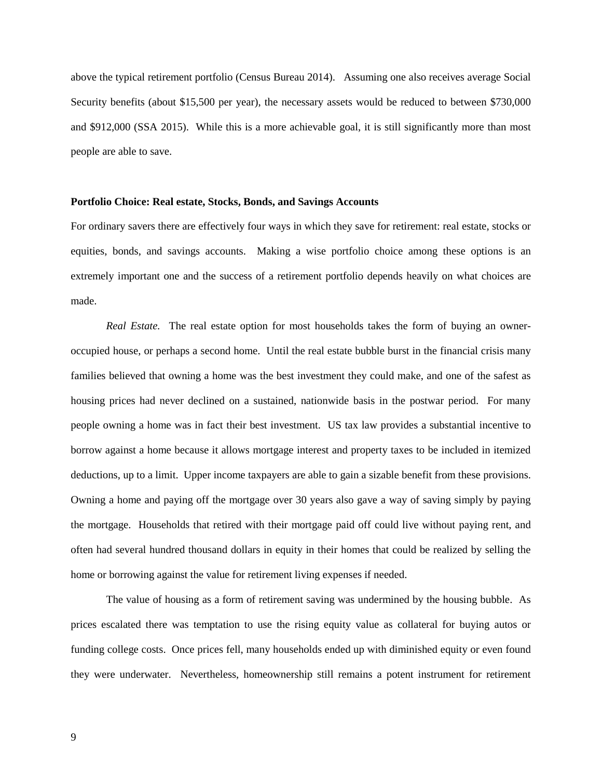above the typical retirement portfolio (Census Bureau 2014). Assuming one also receives average Social Security benefits (about \$15,500 per year), the necessary assets would be reduced to between \$730,000 and \$912,000 (SSA 2015). While this is a more achievable goal, it is still significantly more than most people are able to save.

#### **Portfolio Choice: Real estate, Stocks, Bonds, and Savings Accounts**

For ordinary savers there are effectively four ways in which they save for retirement: real estate, stocks or equities, bonds, and savings accounts. Making a wise portfolio choice among these options is an extremely important one and the success of a retirement portfolio depends heavily on what choices are made.

*Real Estate.* The real estate option for most households takes the form of buying an owneroccupied house, or perhaps a second home. Until the real estate bubble burst in the financial crisis many families believed that owning a home was the best investment they could make, and one of the safest as housing prices had never declined on a sustained, nationwide basis in the postwar period. For many people owning a home was in fact their best investment. US tax law provides a substantial incentive to borrow against a home because it allows mortgage interest and property taxes to be included in itemized deductions, up to a limit. Upper income taxpayers are able to gain a sizable benefit from these provisions. Owning a home and paying off the mortgage over 30 years also gave a way of saving simply by paying the mortgage. Households that retired with their mortgage paid off could live without paying rent, and often had several hundred thousand dollars in equity in their homes that could be realized by selling the home or borrowing against the value for retirement living expenses if needed.

The value of housing as a form of retirement saving was undermined by the housing bubble. As prices escalated there was temptation to use the rising equity value as collateral for buying autos or funding college costs. Once prices fell, many households ended up with diminished equity or even found they were underwater. Nevertheless, homeownership still remains a potent instrument for retirement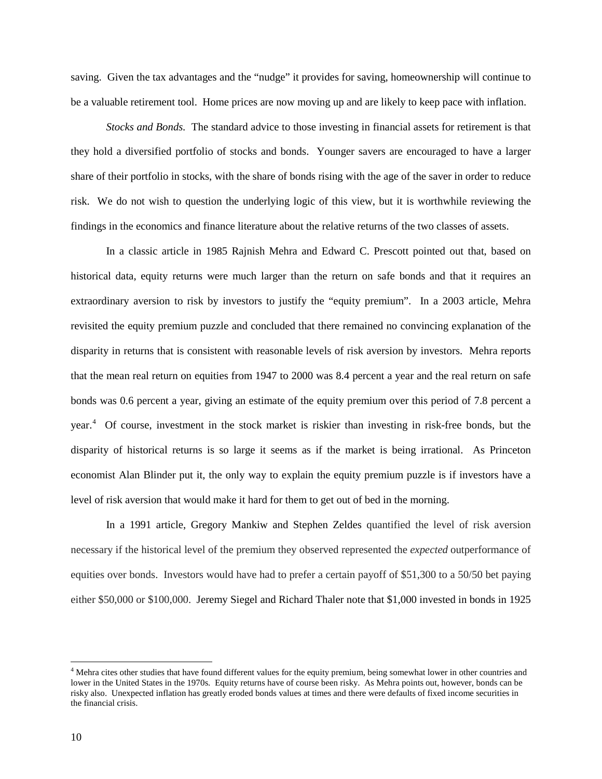saving. Given the tax advantages and the "nudge" it provides for saving, homeownership will continue to be a valuable retirement tool. Home prices are now moving up and are likely to keep pace with inflation.

*Stocks and Bonds.* The standard advice to those investing in financial assets for retirement is that they hold a diversified portfolio of stocks and bonds. Younger savers are encouraged to have a larger share of their portfolio in stocks, with the share of bonds rising with the age of the saver in order to reduce risk. We do not wish to question the underlying logic of this view, but it is worthwhile reviewing the findings in the economics and finance literature about the relative returns of the two classes of assets.

In a classic article in 1985 Rajnish Mehra and Edward C. Prescott pointed out that, based on historical data, equity returns were much larger than the return on safe bonds and that it requires an extraordinary aversion to risk by investors to justify the "equity premium". In a 2003 article, Mehra revisited the equity premium puzzle and concluded that there remained no convincing explanation of the disparity in returns that is consistent with reasonable levels of risk aversion by investors. Mehra reports that the mean real return on equities from 1947 to 2000 was 8.4 percent a year and the real return on safe bonds was 0.6 percent a year, giving an estimate of the equity premium over this period of 7.8 percent a year.<sup>[4](#page-11-0)</sup> Of course, investment in the stock market is riskier than investing in risk-free bonds, but the disparity of historical returns is so large it seems as if the market is being irrational. As Princeton economist Alan Blinder put it, the only way to explain the equity premium puzzle is if investors have a level of risk aversion that would make it hard for them to get out of bed in the morning.

In a 1991 article, Gregory Mankiw and Stephen Zeldes quantified the level of risk aversion necessary if the historical level of the premium they observed represented the *expected* outperformance of equities over bonds. Investors would have had to prefer a certain payoff of \$51,300 to a 50/50 bet paying either \$50,000 or \$100,000. Jeremy Siegel and Richard Thaler note that \$1,000 invested in bonds in 1925

l

<span id="page-11-0"></span><sup>&</sup>lt;sup>4</sup> Mehra cites other studies that have found different values for the equity premium, being somewhat lower in other countries and lower in the United States in the 1970s. Equity returns have of course been risky. As Mehra points out, however, bonds can be risky also. Unexpected inflation has greatly eroded bonds values at times and there were defaults of fixed income securities in the financial crisis.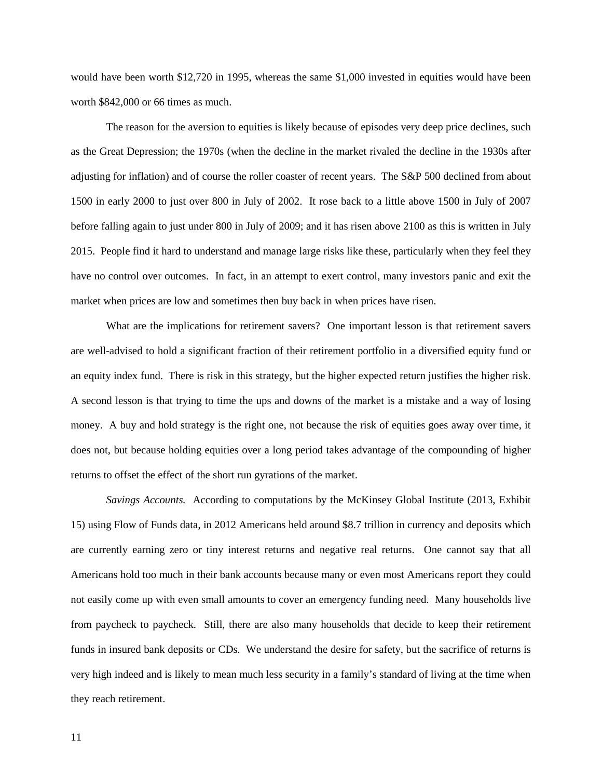would have been worth \$12,720 in 1995, whereas the same \$1,000 invested in equities would have been worth \$842,000 or 66 times as much.

The reason for the aversion to equities is likely because of episodes very deep price declines, such as the Great Depression; the 1970s (when the decline in the market rivaled the decline in the 1930s after adjusting for inflation) and of course the roller coaster of recent years. The S&P 500 declined from about 1500 in early 2000 to just over 800 in July of 2002. It rose back to a little above 1500 in July of 2007 before falling again to just under 800 in July of 2009; and it has risen above 2100 as this is written in July 2015. People find it hard to understand and manage large risks like these, particularly when they feel they have no control over outcomes. In fact, in an attempt to exert control, many investors panic and exit the market when prices are low and sometimes then buy back in when prices have risen.

What are the implications for retirement savers? One important lesson is that retirement savers are well-advised to hold a significant fraction of their retirement portfolio in a diversified equity fund or an equity index fund. There is risk in this strategy, but the higher expected return justifies the higher risk. A second lesson is that trying to time the ups and downs of the market is a mistake and a way of losing money. A buy and hold strategy is the right one, not because the risk of equities goes away over time, it does not, but because holding equities over a long period takes advantage of the compounding of higher returns to offset the effect of the short run gyrations of the market.

*Savings Accounts.* According to computations by the McKinsey Global Institute (2013, Exhibit 15) using Flow of Funds data, in 2012 Americans held around \$8.7 trillion in currency and deposits which are currently earning zero or tiny interest returns and negative real returns. One cannot say that all Americans hold too much in their bank accounts because many or even most Americans report they could not easily come up with even small amounts to cover an emergency funding need. Many households live from paycheck to paycheck. Still, there are also many households that decide to keep their retirement funds in insured bank deposits or CDs. We understand the desire for safety, but the sacrifice of returns is very high indeed and is likely to mean much less security in a family's standard of living at the time when they reach retirement.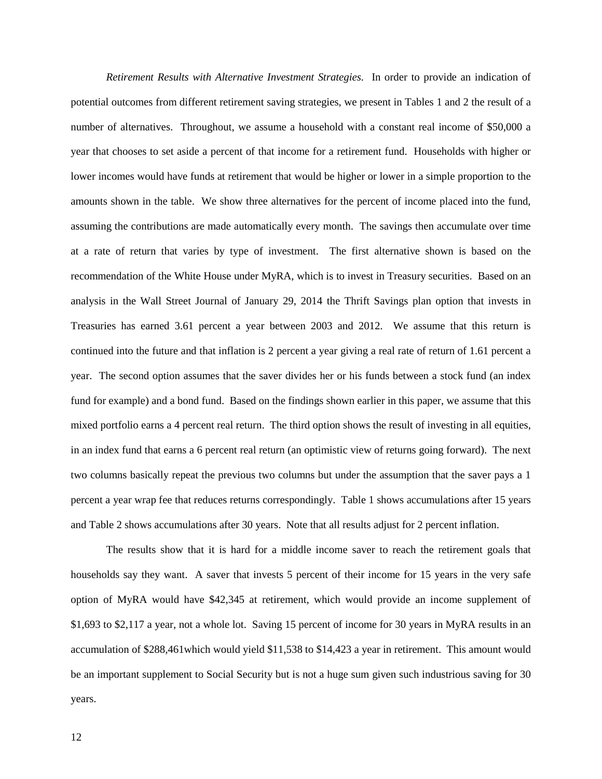*Retirement Results with Alternative Investment Strategies.* In order to provide an indication of potential outcomes from different retirement saving strategies, we present in Tables 1 and 2 the result of a number of alternatives. Throughout, we assume a household with a constant real income of \$50,000 a year that chooses to set aside a percent of that income for a retirement fund. Households with higher or lower incomes would have funds at retirement that would be higher or lower in a simple proportion to the amounts shown in the table. We show three alternatives for the percent of income placed into the fund, assuming the contributions are made automatically every month. The savings then accumulate over time at a rate of return that varies by type of investment. The first alternative shown is based on the recommendation of the White House under MyRA, which is to invest in Treasury securities. Based on an analysis in the Wall Street Journal of January 29, 2014 the Thrift Savings plan option that invests in Treasuries has earned 3.61 percent a year between 2003 and 2012. We assume that this return is continued into the future and that inflation is 2 percent a year giving a real rate of return of 1.61 percent a year. The second option assumes that the saver divides her or his funds between a stock fund (an index fund for example) and a bond fund. Based on the findings shown earlier in this paper, we assume that this mixed portfolio earns a 4 percent real return. The third option shows the result of investing in all equities, in an index fund that earns a 6 percent real return (an optimistic view of returns going forward). The next two columns basically repeat the previous two columns but under the assumption that the saver pays a 1 percent a year wrap fee that reduces returns correspondingly. Table 1 shows accumulations after 15 years and Table 2 shows accumulations after 30 years. Note that all results adjust for 2 percent inflation.

The results show that it is hard for a middle income saver to reach the retirement goals that households say they want. A saver that invests 5 percent of their income for 15 years in the very safe option of MyRA would have \$42,345 at retirement, which would provide an income supplement of \$1,693 to \$2,117 a year, not a whole lot. Saving 15 percent of income for 30 years in MyRA results in an accumulation of \$288,461which would yield \$11,538 to \$14,423 a year in retirement. This amount would be an important supplement to Social Security but is not a huge sum given such industrious saving for 30 years.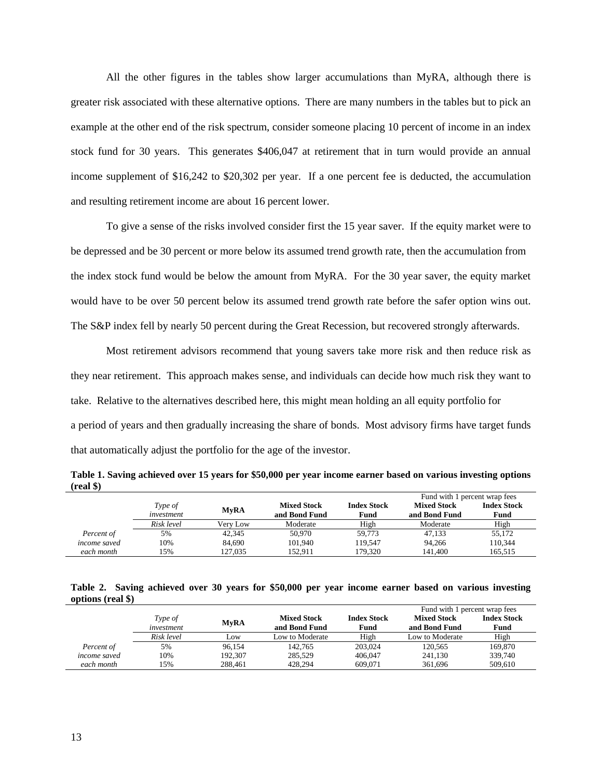All the other figures in the tables show larger accumulations than MyRA, although there is greater risk associated with these alternative options. There are many numbers in the tables but to pick an example at the other end of the risk spectrum, consider someone placing 10 percent of income in an index stock fund for 30 years. This generates \$406,047 at retirement that in turn would provide an annual income supplement of \$16,242 to \$20,302 per year. If a one percent fee is deducted, the accumulation and resulting retirement income are about 16 percent lower.

To give a sense of the risks involved consider first the 15 year saver. If the equity market were to be depressed and be 30 percent or more below its assumed trend growth rate, then the accumulation from the index stock fund would be below the amount from MyRA. For the 30 year saver, the equity market would have to be over 50 percent below its assumed trend growth rate before the safer option wins out. The S&P index fell by nearly 50 percent during the Great Recession, but recovered strongly afterwards.

Most retirement advisors recommend that young savers take more risk and then reduce risk as they near retirement. This approach makes sense, and individuals can decide how much risk they want to take. Relative to the alternatives described here, this might mean holding an all equity portfolio for a period of years and then gradually increasing the share of bonds. Most advisory firms have target funds that automatically adjust the portfolio for the age of the investor.

|                     |            |             |                    |                    | Fund with 1 percent wrap fees |                    |  |
|---------------------|------------|-------------|--------------------|--------------------|-------------------------------|--------------------|--|
|                     | Type of    | <b>MvRA</b> | <b>Mixed Stock</b> | <b>Index Stock</b> | <b>Mixed Stock</b>            | <b>Index Stock</b> |  |
|                     | investment |             | and Bond Fund      | Fund               | and Bond Fund                 | Fund               |  |
|                     | Risk level | Verv Low    | Moderate           | High               | Moderate                      | High               |  |
| Percent of          | 5%         | 42.345      | 50,970             | 59.773             | 47.133                        | 55,172             |  |
| <i>income saved</i> | 10%        | 84.690      | 101.940            | 119.547            | 94.266                        | 110,344            |  |
| each month          | 15%        | 127.035     | 152.911            | 179.320            | 141.400                       | 165.515            |  |

**Table 1. Saving achieved over 15 years for \$50,000 per year income earner based on various investing options (real \$)**

**Table 2. Saving achieved over 30 years for \$50,000 per year income earner based on various investing options (real \$)**

|                     |            |             |                    |                    | Fund with 1 percent wrap fees |                    |
|---------------------|------------|-------------|--------------------|--------------------|-------------------------------|--------------------|
|                     | Type of    | <b>MvRA</b> | <b>Mixed Stock</b> | <b>Index Stock</b> | <b>Mixed Stock</b>            | <b>Index Stock</b> |
|                     | investment |             | and Bond Fund      | Fund               | and Bond Fund                 | Fund               |
|                     | Risk level | Low         | Low to Moderate    | High               | Low to Moderate               | High               |
| Percent of          | 5%         | 96.154      | 142.765            | 203,024            | 120,565                       | 169.870            |
| <i>income saved</i> | 10%        | 192,307     | 285.529            | 406,047            | 241,130                       | 339,740            |
| each month          | 15%        | 288.461     | 428.294            | 609.071            | 361.696                       | 509,610            |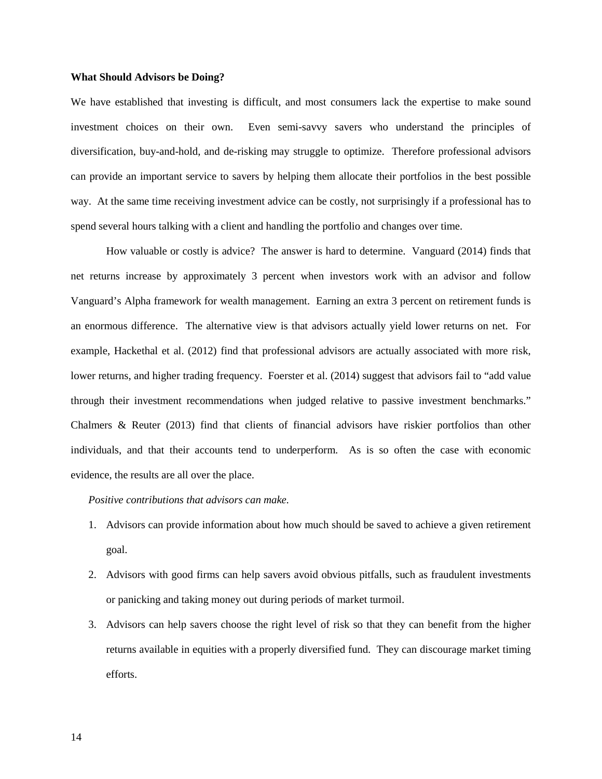## **What Should Advisors be Doing?**

We have established that investing is difficult, and most consumers lack the expertise to make sound investment choices on their own. Even semi-savvy savers who understand the principles of diversification, buy-and-hold, and de-risking may struggle to optimize. Therefore professional advisors can provide an important service to savers by helping them allocate their portfolios in the best possible way. At the same time receiving investment advice can be costly, not surprisingly if a professional has to spend several hours talking with a client and handling the portfolio and changes over time.

How valuable or costly is advice? The answer is hard to determine. Vanguard (2014) finds that net returns increase by approximately 3 percent when investors work with an advisor and follow Vanguard's Alpha framework for wealth management. Earning an extra 3 percent on retirement funds is an enormous difference. The alternative view is that advisors actually yield lower returns on net. For example, Hackethal et al. (2012) find that professional advisors are actually associated with more risk, lower returns, and higher trading frequency. Foerster et al. (2014) suggest that advisors fail to "add value through their investment recommendations when judged relative to passive investment benchmarks." Chalmers & Reuter (2013) find that clients of financial advisors have riskier portfolios than other individuals, and that their accounts tend to underperform. As is so often the case with economic evidence, the results are all over the place.

## *Positive contributions that advisors can make.*

- 1. Advisors can provide information about how much should be saved to achieve a given retirement goal.
- 2. Advisors with good firms can help savers avoid obvious pitfalls, such as fraudulent investments or panicking and taking money out during periods of market turmoil.
- 3. Advisors can help savers choose the right level of risk so that they can benefit from the higher returns available in equities with a properly diversified fund. They can discourage market timing efforts.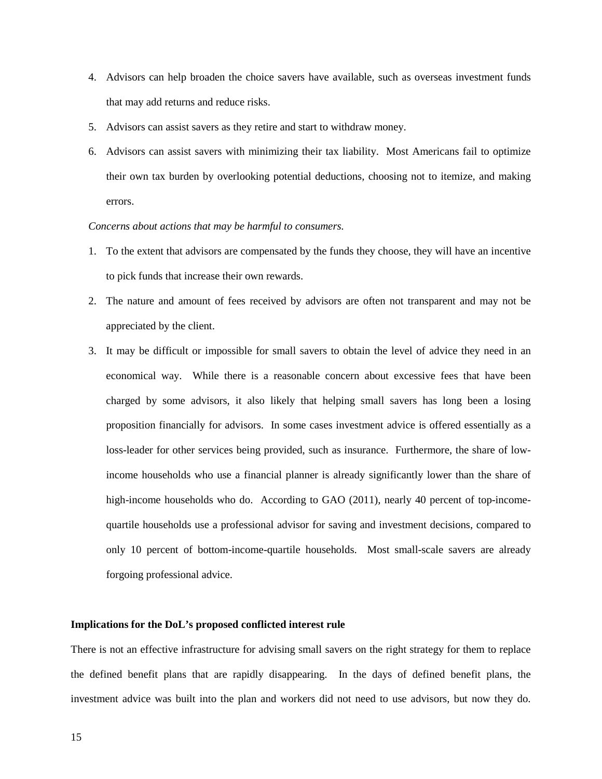- 4. Advisors can help broaden the choice savers have available, such as overseas investment funds that may add returns and reduce risks.
- 5. Advisors can assist savers as they retire and start to withdraw money.
- 6. Advisors can assist savers with minimizing their tax liability. Most Americans fail to optimize their own tax burden by overlooking potential deductions, choosing not to itemize, and making errors.

# *Concerns about actions that may be harmful to consumers.*

- 1. To the extent that advisors are compensated by the funds they choose, they will have an incentive to pick funds that increase their own rewards.
- 2. The nature and amount of fees received by advisors are often not transparent and may not be appreciated by the client.
- 3. It may be difficult or impossible for small savers to obtain the level of advice they need in an economical way. While there is a reasonable concern about excessive fees that have been charged by some advisors, it also likely that helping small savers has long been a losing proposition financially for advisors. In some cases investment advice is offered essentially as a loss-leader for other services being provided, such as insurance. Furthermore, the share of lowincome households who use a financial planner is already significantly lower than the share of high-income households who do. According to GAO (2011), nearly 40 percent of top-incomequartile households use a professional advisor for saving and investment decisions, compared to only 10 percent of bottom-income-quartile households. Most small-scale savers are already forgoing professional advice.

## **Implications for the DoL's proposed conflicted interest rule**

There is not an effective infrastructure for advising small savers on the right strategy for them to replace the defined benefit plans that are rapidly disappearing. In the days of defined benefit plans, the investment advice was built into the plan and workers did not need to use advisors, but now they do.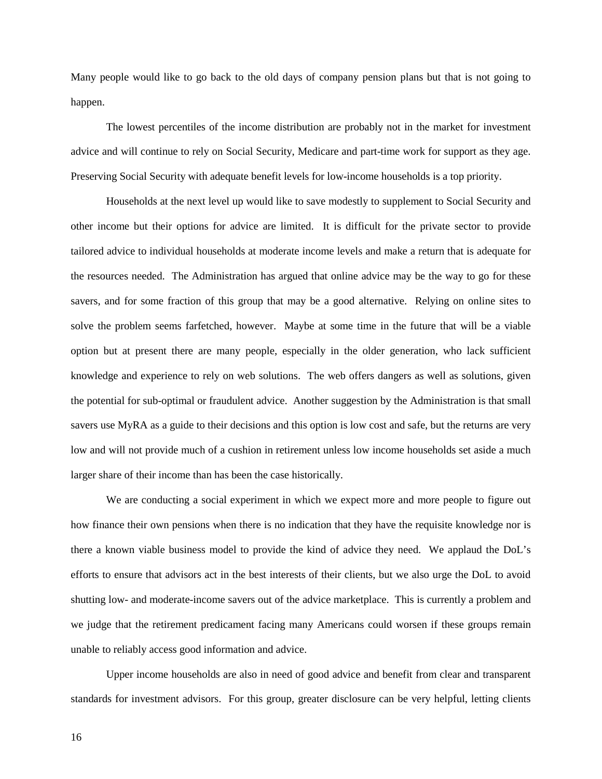Many people would like to go back to the old days of company pension plans but that is not going to happen.

The lowest percentiles of the income distribution are probably not in the market for investment advice and will continue to rely on Social Security, Medicare and part-time work for support as they age. Preserving Social Security with adequate benefit levels for low-income households is a top priority.

Households at the next level up would like to save modestly to supplement to Social Security and other income but their options for advice are limited. It is difficult for the private sector to provide tailored advice to individual households at moderate income levels and make a return that is adequate for the resources needed. The Administration has argued that online advice may be the way to go for these savers, and for some fraction of this group that may be a good alternative. Relying on online sites to solve the problem seems farfetched, however. Maybe at some time in the future that will be a viable option but at present there are many people, especially in the older generation, who lack sufficient knowledge and experience to rely on web solutions. The web offers dangers as well as solutions, given the potential for sub-optimal or fraudulent advice. Another suggestion by the Administration is that small savers use MyRA as a guide to their decisions and this option is low cost and safe, but the returns are very low and will not provide much of a cushion in retirement unless low income households set aside a much larger share of their income than has been the case historically.

We are conducting a social experiment in which we expect more and more people to figure out how finance their own pensions when there is no indication that they have the requisite knowledge nor is there a known viable business model to provide the kind of advice they need. We applaud the DoL's efforts to ensure that advisors act in the best interests of their clients, but we also urge the DoL to avoid shutting low- and moderate-income savers out of the advice marketplace. This is currently a problem and we judge that the retirement predicament facing many Americans could worsen if these groups remain unable to reliably access good information and advice.

Upper income households are also in need of good advice and benefit from clear and transparent standards for investment advisors. For this group, greater disclosure can be very helpful, letting clients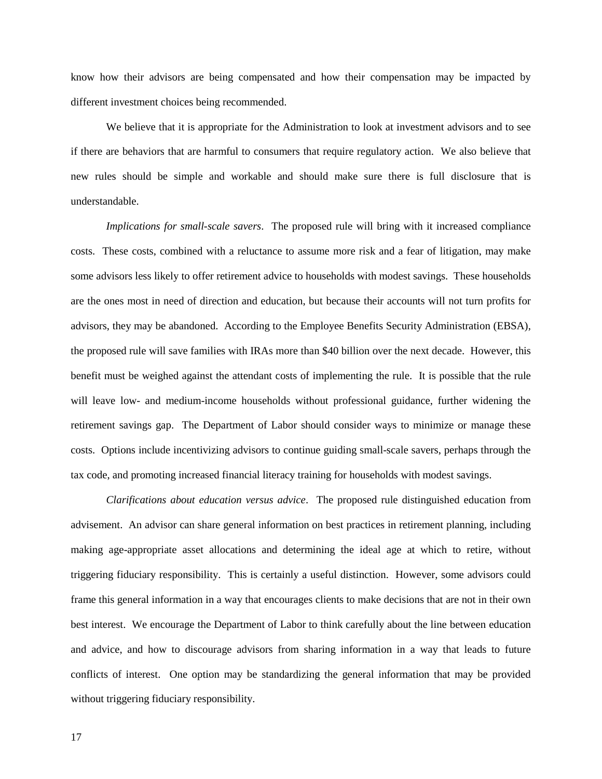know how their advisors are being compensated and how their compensation may be impacted by different investment choices being recommended.

We believe that it is appropriate for the Administration to look at investment advisors and to see if there are behaviors that are harmful to consumers that require regulatory action. We also believe that new rules should be simple and workable and should make sure there is full disclosure that is understandable.

*Implications for small-scale savers*. The proposed rule will bring with it increased compliance costs. These costs, combined with a reluctance to assume more risk and a fear of litigation, may make some advisors less likely to offer retirement advice to households with modest savings. These households are the ones most in need of direction and education, but because their accounts will not turn profits for advisors, they may be abandoned. According to the Employee Benefits Security Administration (EBSA), the proposed rule will save families with IRAs more than \$40 billion over the next decade. However, this benefit must be weighed against the attendant costs of implementing the rule. It is possible that the rule will leave low- and medium-income households without professional guidance, further widening the retirement savings gap. The Department of Labor should consider ways to minimize or manage these costs. Options include incentivizing advisors to continue guiding small-scale savers, perhaps through the tax code, and promoting increased financial literacy training for households with modest savings.

*Clarifications about education versus advice*. The proposed rule distinguished education from advisement. An advisor can share general information on best practices in retirement planning, including making age-appropriate asset allocations and determining the ideal age at which to retire, without triggering fiduciary responsibility. This is certainly a useful distinction. However, some advisors could frame this general information in a way that encourages clients to make decisions that are not in their own best interest. We encourage the Department of Labor to think carefully about the line between education and advice, and how to discourage advisors from sharing information in a way that leads to future conflicts of interest. One option may be standardizing the general information that may be provided without triggering fiduciary responsibility.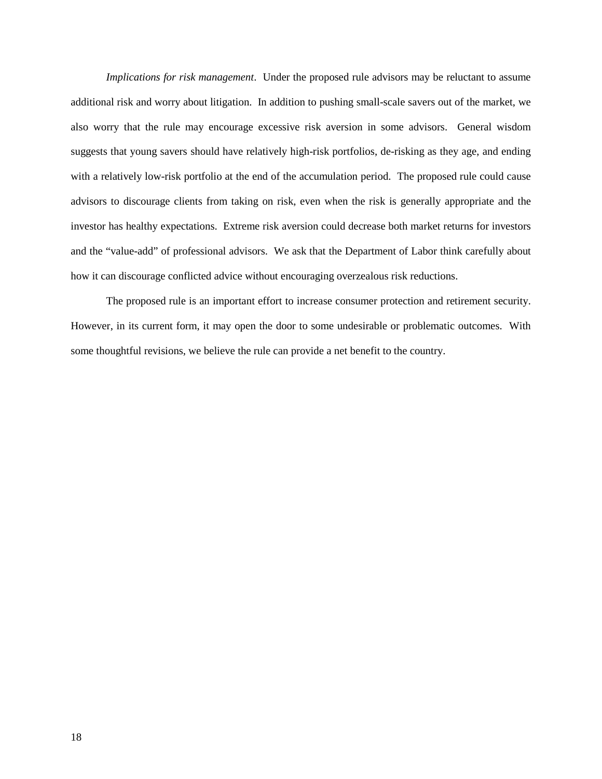*Implications for risk management*. Under the proposed rule advisors may be reluctant to assume additional risk and worry about litigation. In addition to pushing small-scale savers out of the market, we also worry that the rule may encourage excessive risk aversion in some advisors. General wisdom suggests that young savers should have relatively high-risk portfolios, de-risking as they age, and ending with a relatively low-risk portfolio at the end of the accumulation period. The proposed rule could cause advisors to discourage clients from taking on risk, even when the risk is generally appropriate and the investor has healthy expectations. Extreme risk aversion could decrease both market returns for investors and the "value-add" of professional advisors. We ask that the Department of Labor think carefully about how it can discourage conflicted advice without encouraging overzealous risk reductions.

The proposed rule is an important effort to increase consumer protection and retirement security. However, in its current form, it may open the door to some undesirable or problematic outcomes. With some thoughtful revisions, we believe the rule can provide a net benefit to the country.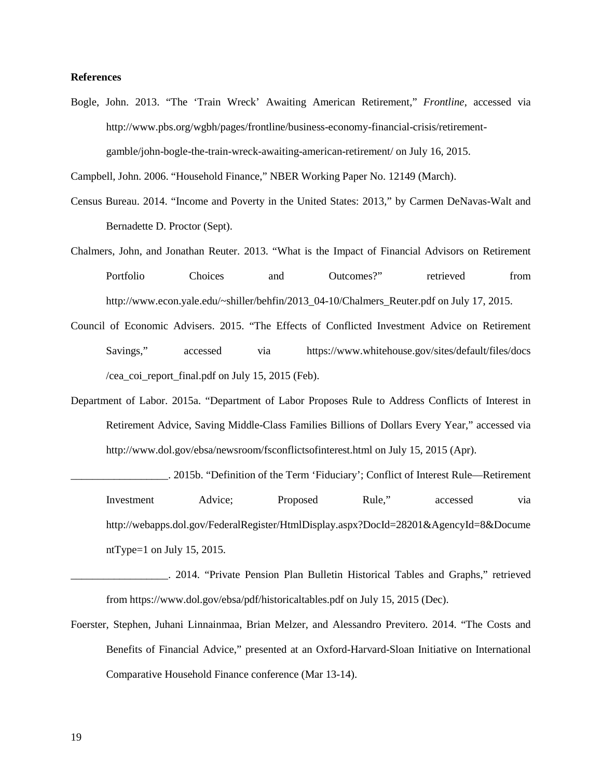## **References**

Bogle, John. 2013. "The 'Train Wreck' Awaiting American Retirement," *Frontline*, accessed via http://www.pbs.org/wgbh/pages/frontline/business-economy-financial-crisis/retirementgamble/john-bogle-the-train-wreck-awaiting-american-retirement/ on July 16, 2015.

Campbell, John. 2006. "Household Finance," NBER Working Paper No. 12149 (March).

- Census Bureau. 2014. "Income and Poverty in the United States: 2013," by Carmen DeNavas-Walt and Bernadette D. Proctor (Sept).
- Chalmers, John, and Jonathan Reuter. 2013. "What is the Impact of Financial Advisors on Retirement Portfolio Choices and Outcomes?" retrieved from http://www.econ.yale.edu/~shiller/behfin/2013\_04-10/Chalmers\_Reuter.pdf on July 17, 2015.
- Council of Economic Advisers. 2015. "The Effects of Conflicted Investment Advice on Retirement Savings," accessed via https://www.whitehouse.gov/sites/default/files/docs /cea coi report final.pdf on July 15, 2015 (Feb).
- Department of Labor. 2015a. "Department of Labor Proposes Rule to Address Conflicts of Interest in Retirement Advice, Saving Middle-Class Families Billions of Dollars Every Year," accessed via http://www.dol.gov/ebsa/newsroom/fsconflictsofinterest.html on July 15, 2015 (Apr).
	- \_\_\_\_\_\_\_\_\_\_\_\_\_\_\_\_\_\_. 2015b. "Definition of the Term 'Fiduciary'; Conflict of Interest Rule—Retirement Investment Advice; Proposed Rule," accessed via http://webapps.dol.gov/FederalRegister/HtmlDisplay.aspx?DocId=28201&AgencyId=8&Docume ntType=1 on July 15, 2015.
- \_\_\_\_\_\_\_\_\_\_\_\_\_\_\_\_\_\_. 2014. "Private Pension Plan Bulletin Historical Tables and Graphs," retrieved from https://www.dol.gov/ebsa/pdf/historicaltables.pdf on July 15, 2015 (Dec).
- Foerster, Stephen, Juhani Linnainmaa, Brian Melzer, and Alessandro Previtero. 2014. "The Costs and Benefits of Financial Advice," presented at an Oxford-Harvard-Sloan Initiative on International Comparative Household Finance conference (Mar 13-14).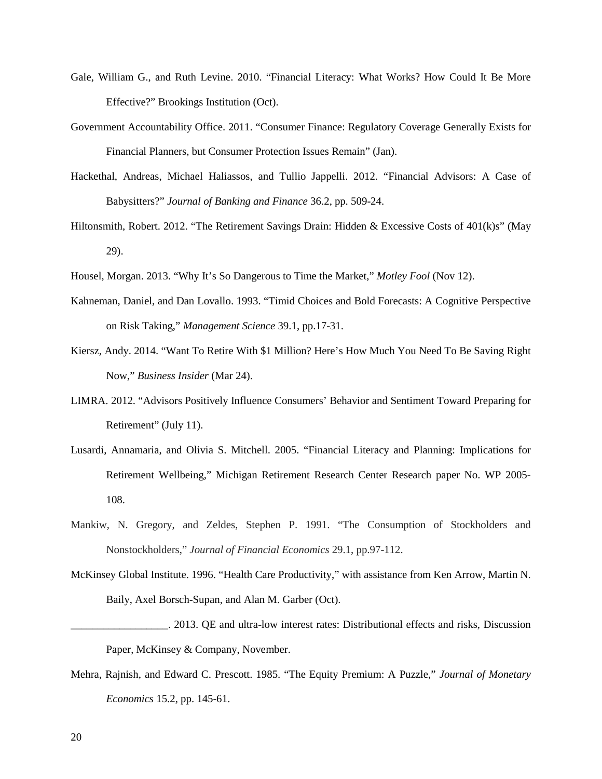- Gale, William G., and Ruth Levine. 2010. "Financial Literacy: What Works? How Could It Be More Effective?" Brookings Institution (Oct).
- Government Accountability Office. 2011. "Consumer Finance: Regulatory Coverage Generally Exists for Financial Planners, but Consumer Protection Issues Remain" (Jan).
- Hackethal, Andreas, Michael Haliassos, and Tullio Jappelli. 2012. "Financial Advisors: A Case of Babysitters?" *Journal of Banking and Finance* 36.2, pp. 509-24.
- Hiltonsmith, Robert. 2012. "The Retirement Savings Drain: Hidden & Excessive Costs of 401(k)s" (May 29).
- Housel, Morgan. 2013. "Why It's So Dangerous to Time the Market," *Motley Fool* (Nov 12).
- Kahneman, Daniel, and Dan Lovallo. 1993. "Timid Choices and Bold Forecasts: A Cognitive Perspective on Risk Taking," *Management Science* 39.1, pp.17-31.
- Kiersz, Andy. 2014. "Want To Retire With \$1 Million? Here's How Much You Need To Be Saving Right Now," *Business Insider* (Mar 24).
- LIMRA. 2012. "Advisors Positively Influence Consumers' Behavior and Sentiment Toward Preparing for Retirement" (July 11).
- Lusardi, Annamaria, and Olivia S. Mitchell. 2005. "Financial Literacy and Planning: Implications for Retirement Wellbeing," Michigan Retirement Research Center Research paper No. WP 2005- 108.
- Mankiw, N. Gregory, and Zeldes, Stephen P. 1991. "The Consumption of Stockholders and Nonstockholders," *Journal of Financial Economics* 29.1, pp.97-112.
- McKinsey Global Institute. 1996. "Health Care Productivity," with assistance from Ken Arrow, Martin N. Baily, Axel Borsch-Supan, and Alan M. Garber (Oct).
- \_\_\_\_\_\_\_\_\_\_\_\_\_\_\_\_\_\_. 2013. QE and ultra-low interest rates: Distributional effects and risks, Discussion Paper, McKinsey & Company, November.
- Mehra, Rajnish, and Edward C. Prescott. 1985. "The Equity Premium: A Puzzle," *Journal of Monetary Economics* 15.2, pp. 145-61.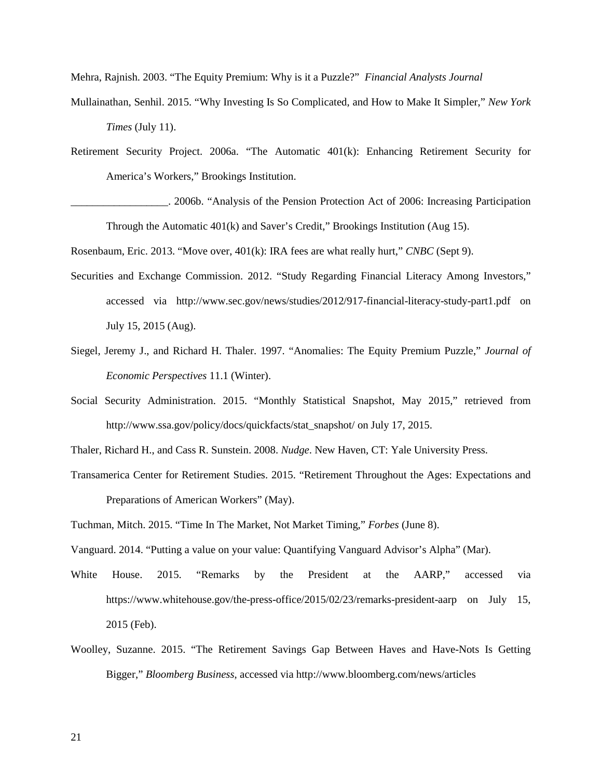Mehra, Rajnish. 2003. "The Equity Premium: Why is it a Puzzle?" *Financial Analysts Journal*

- Mullainathan, Senhil. 2015. "Why Investing Is So Complicated, and How to Make It Simpler," *New York Times* (July 11).
- Retirement Security Project. 2006a. "The Automatic 401(k): Enhancing Retirement Security for America's Workers," Brookings Institution.
- \_\_\_\_\_\_\_\_\_\_\_\_\_\_\_\_\_\_. 2006b. "Analysis of the Pension Protection Act of 2006: Increasing Participation Through the Automatic 401(k) and Saver's Credit," Brookings Institution (Aug 15).

Rosenbaum, Eric. 2013. "Move over, 401(k): IRA fees are what really hurt," *CNBC* (Sept 9).

- Securities and Exchange Commission. 2012. "Study Regarding Financial Literacy Among Investors," accessed via http://www.sec.gov/news/studies/2012/917-financial-literacy-study-part1.pdf on July 15, 2015 (Aug).
- Siegel, Jeremy J., and Richard H. Thaler. 1997. "Anomalies: The Equity Premium Puzzle," *Journal of Economic Perspectives* 11.1 (Winter).
- Social Security Administration. 2015. "Monthly Statistical Snapshot, May 2015," retrieved from http://www.ssa.gov/policy/docs/quickfacts/stat\_snapshot/ on July 17, 2015.
- Thaler, Richard H., and Cass R. Sunstein. 2008. *Nudge*. New Haven, CT: Yale University Press.
- Transamerica Center for Retirement Studies. 2015. "Retirement Throughout the Ages: Expectations and Preparations of American Workers" (May).
- Tuchman, Mitch. 2015. "Time In The Market, Not Market Timing," *Forbes* (June 8).
- Vanguard. 2014. "Putting a value on your value: Quantifying Vanguard Advisor's Alpha" (Mar).
- White House. 2015. "Remarks by the President at the AARP," accessed via https://www.whitehouse.gov/the-press-office/2015/02/23/remarks-president-aarp on July 15, 2015 (Feb).
- Woolley, Suzanne. 2015. "The Retirement Savings Gap Between Haves and Have-Nots Is Getting Bigger," *Bloomberg Business*, accessed via http://www.bloomberg.com/news/articles